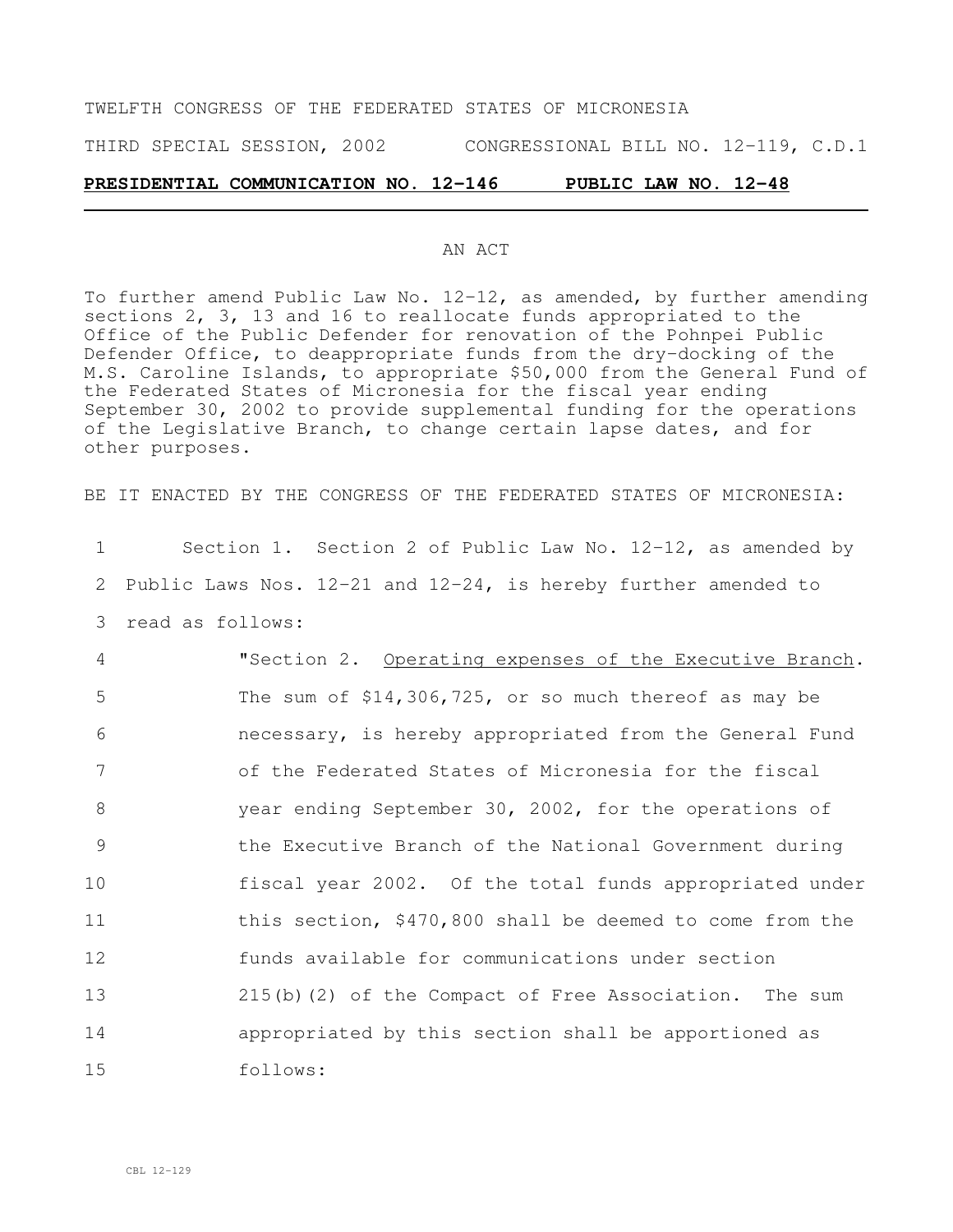# TWELFTH CONGRESS OF THE FEDERATED STATES OF MICRONESIA THIRD SPECIAL SESSION, 2002 CONGRESSIONAL BILL NO. 12-119, C.D.1

#### **PRESIDENTIAL COMMUNICATION NO. 12-146 PUBLIC LAW NO. 12-48**

#### AN ACT

To further amend Public Law No.  $12-12$ , as amended, by further amending sections 2, 3, 13 and 16 to reallocate funds appropriated to the Office of the Public Defender for renovation of the Pohnpei Public Defender Office, to deappropriate funds from the dry-docking of the M.S. Caroline Islands, to appropriate \$50,000 from the General Fund of the Federated States of Micronesia for the fiscal year ending September 30, 2002 to provide supplemental funding for the operations of the Legislative Branch, to change certain lapse dates, and for other purposes.

BE IT ENACTED BY THE CONGRESS OF THE FEDERATED STATES OF MICRONESIA:

1 Section 1. Section 2 of Public Law No. 12-12, as amended by 2 Public Laws Nos. 12-21 and 12-24, is hereby further amended to 3 read as follows:

 "Section 2. Operating expenses of the Executive Branch. The sum of \$14,306,725, or so much thereof as may be necessary, is hereby appropriated from the General Fund of the Federated States of Micronesia for the fiscal year ending September 30, 2002, for the operations of the Executive Branch of the National Government during fiscal year 2002. Of the total funds appropriated under 11 this section, \$470,800 shall be deemed to come from the funds available for communications under section 215(b)(2) of the Compact of Free Association. The sum appropriated by this section shall be apportioned as 15 follows: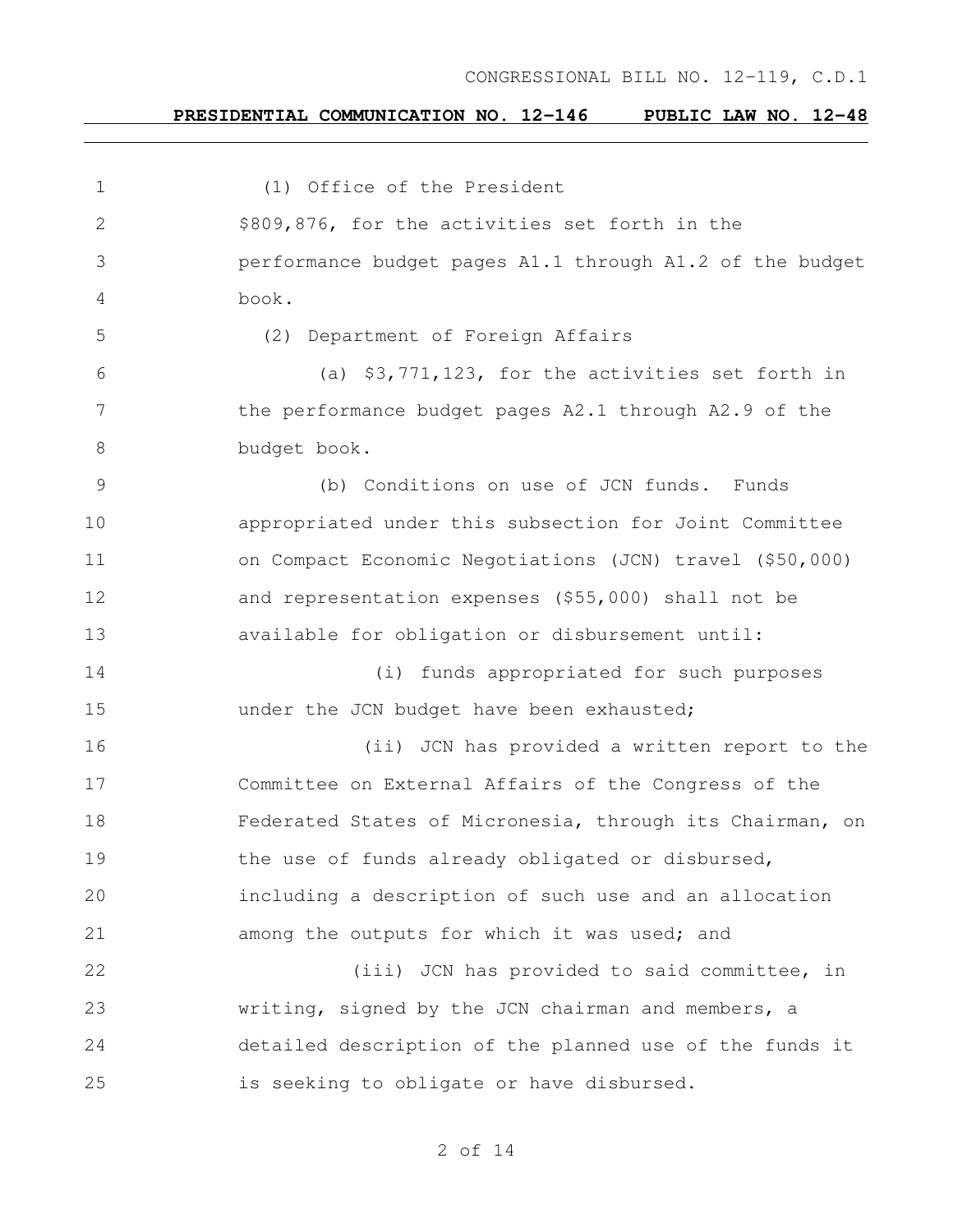#### **PRESIDENTIAL COMMUNICATION NO. 12-146 PUBLIC LAW NO. 12-48**

 (1) Office of the President \$809,876, for the activities set forth in the performance budget pages A1.1 through A1.2 of the budget book. (2) Department of Foreign Affairs (a) \$3,771,123, for the activities set forth in 7 the performance budget pages A2.1 through A2.9 of the budget book. (b) Conditions on use of JCN funds. Funds appropriated under this subsection for Joint Committee on Compact Economic Negotiations (JCN) travel (\$50,000) and representation expenses (\$55,000) shall not be available for obligation or disbursement until: (i) funds appropriated for such purposes **under the JCN budget have been exhausted;**  (ii) JCN has provided a written report to the Committee on External Affairs of the Congress of the Federated States of Micronesia, through its Chairman, on 19 the use of funds already obligated or disbursed, including a description of such use and an allocation among the outputs for which it was used; and 22 (iii) JCN has provided to said committee, in writing, signed by the JCN chairman and members, a detailed description of the planned use of the funds it is seeking to obligate or have disbursed.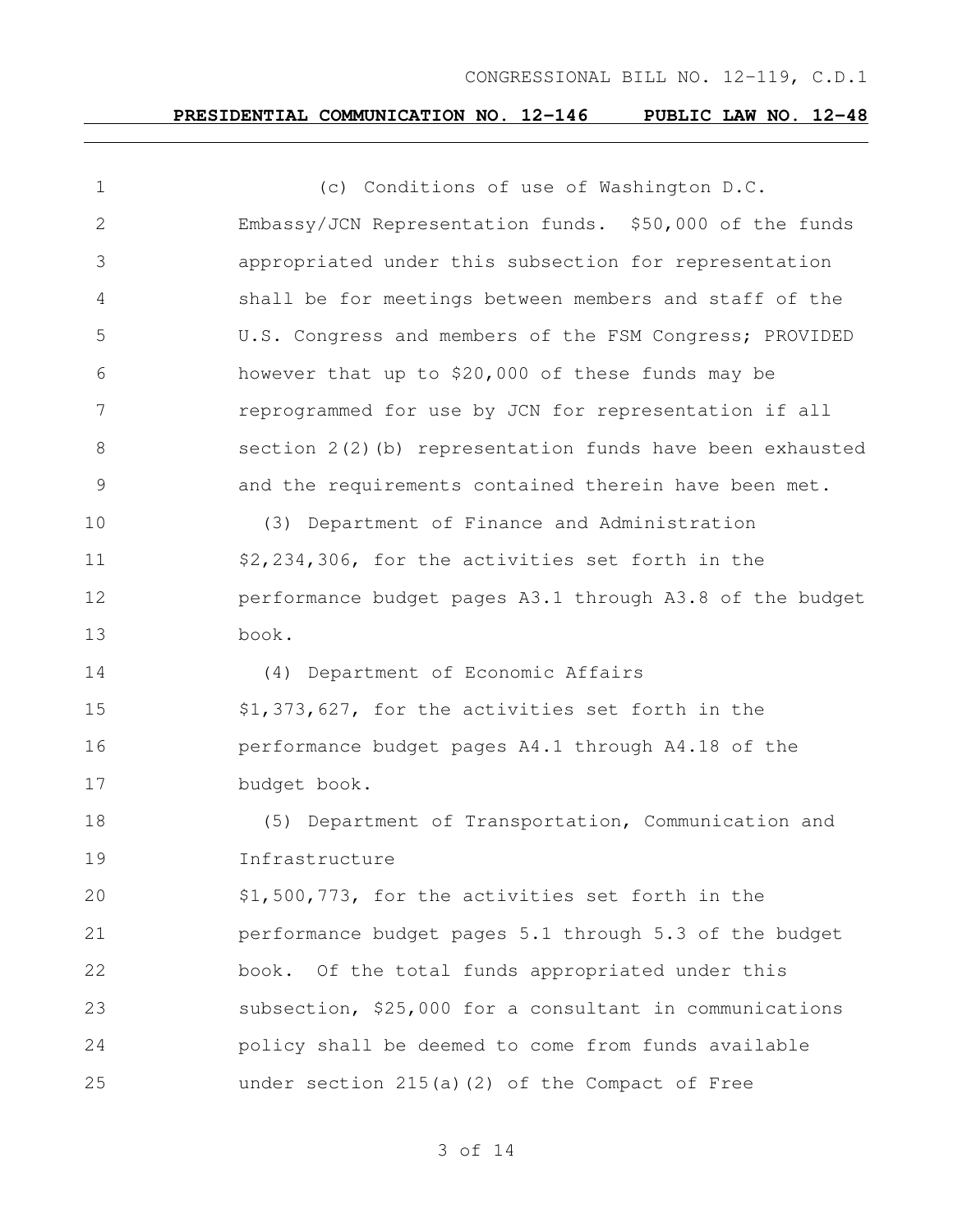# **PRESIDENTIAL COMMUNICATION NO. 12-146 PUBLIC LAW NO. 12-48**

| $\mathbf 1$    | (c) Conditions of use of Washington D.C.                    |
|----------------|-------------------------------------------------------------|
| $\overline{2}$ | Embassy/JCN Representation funds. \$50,000 of the funds     |
| 3              | appropriated under this subsection for representation       |
| 4              | shall be for meetings between members and staff of the      |
| 5              | U.S. Congress and members of the FSM Congress; PROVIDED     |
| 6              | however that up to \$20,000 of these funds may be           |
| $7\phantom{.}$ | reprogrammed for use by JCN for representation if all       |
| 8              | section $2(2)$ (b) representation funds have been exhausted |
| $\mathcal{G}$  | and the requirements contained therein have been met.       |
| 10             | (3) Department of Finance and Administration                |
| 11             | \$2,234,306, for the activities set forth in the            |
| 12             | performance budget pages A3.1 through A3.8 of the budget    |
| 13             | book.                                                       |
| 14             | (4) Department of Economic Affairs                          |
| 15             | \$1,373,627, for the activities set forth in the            |
| 16             | performance budget pages A4.1 through A4.18 of the          |
| 17             | budget book.                                                |
| 18             | (5) Department of Transportation, Communication and         |
| 19             | Infrastructure                                              |
| 20             | \$1,500,773, for the activities set forth in the            |
| 21             | performance budget pages 5.1 through 5.3 of the budget      |
| 22             | book. Of the total funds appropriated under this            |
| 23             | subsection, \$25,000 for a consultant in communications     |
| 24             | policy shall be deemed to come from funds available         |
| 25             | under section 215(a)(2) of the Compact of Free              |
|                |                                                             |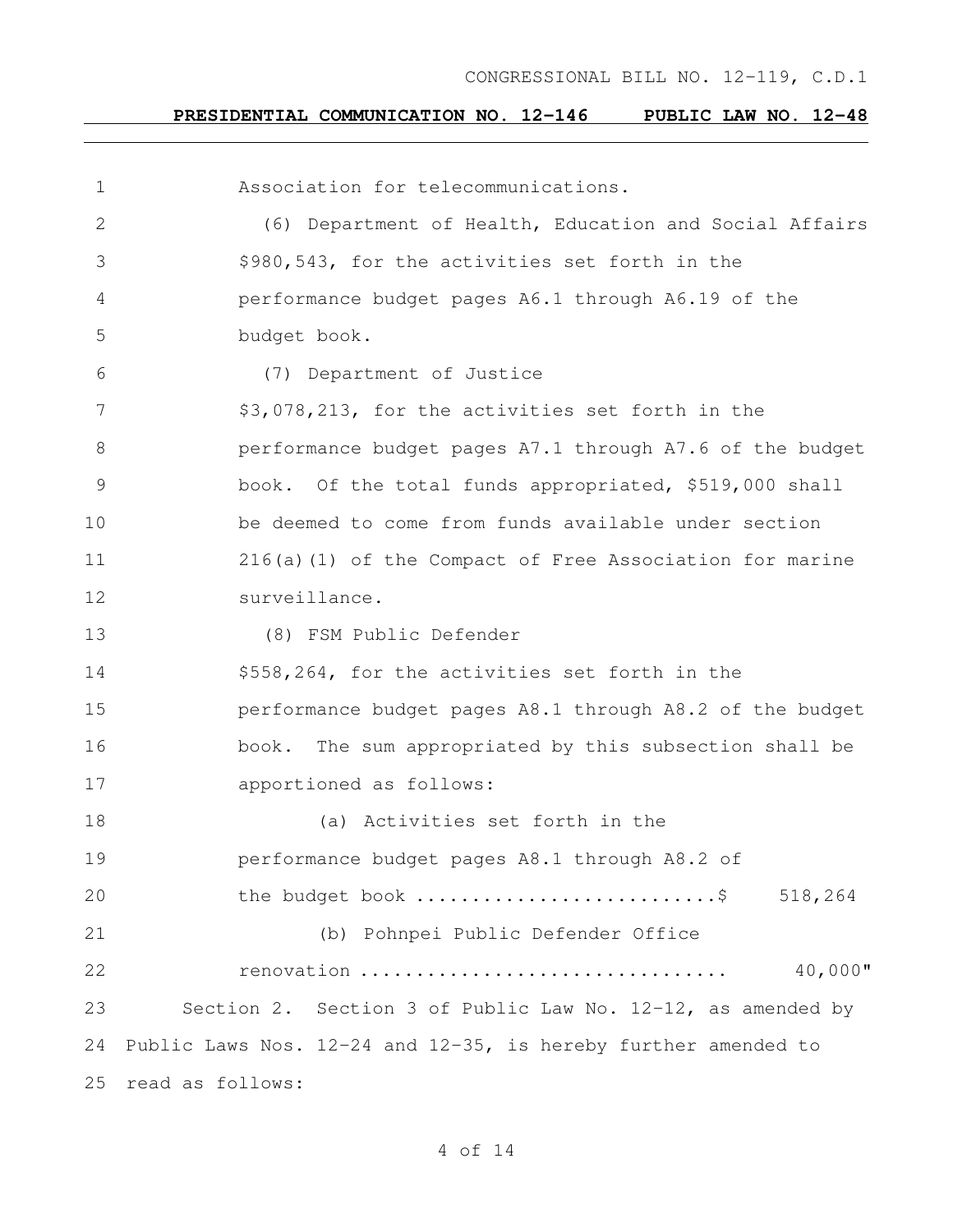#### **PRESIDENTIAL COMMUNICATION NO. 12-146 PUBLIC LAW NO. 12-48**

 Association for telecommunications. (6) Department of Health, Education and Social Affairs \$980,543, for the activities set forth in the performance budget pages A6.1 through A6.19 of the budget book. (7) Department of Justice \$3,078,213, for the activities set forth in the performance budget pages A7.1 through A7.6 of the budget book. Of the total funds appropriated, \$519,000 shall be deemed to come from funds available under section 216(a)(1) of the Compact of Free Association for marine surveillance. (8) FSM Public Defender \$558,264, for the activities set forth in the performance budget pages A8.1 through A8.2 of the budget book. The sum appropriated by this subsection shall be apportioned as follows: (a) Activities set forth in the performance budget pages A8.1 through A8.2 of 20 the budget book .................................\$ 518,264 (b) Pohnpei Public Defender Office renovation ................................. 40,000" Section 2. Section 3 of Public Law No. 12-12, as amended by Public Laws Nos. 12-24 and 12-35, is hereby further amended to read as follows: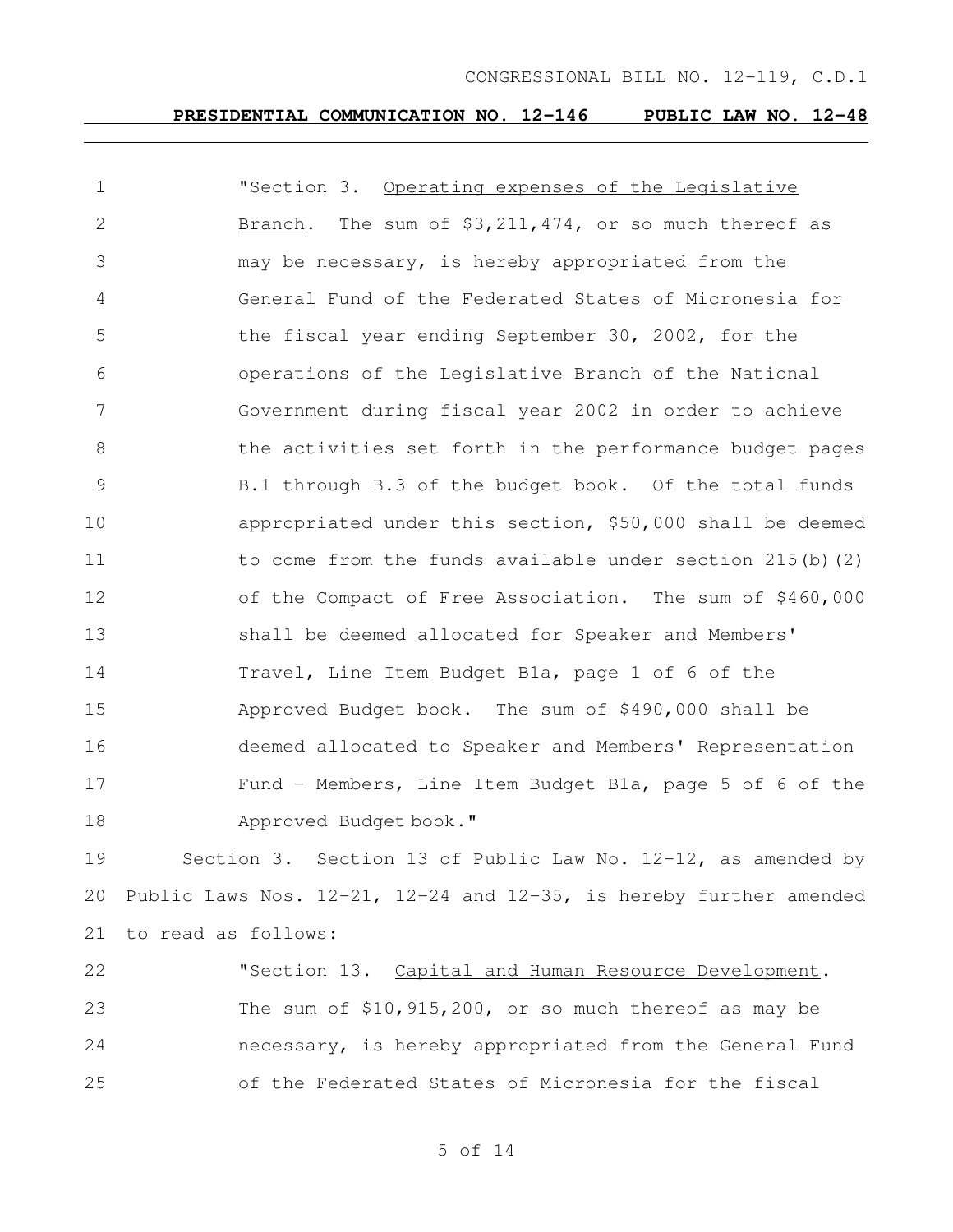#### **PRESIDENTIAL COMMUNICATION NO. 12-146 PUBLIC LAW NO. 12-48**

| $\mathbf 1$   | "Section 3. Operating expenses of the Legislative            |
|---------------|--------------------------------------------------------------|
| 2             | The sum of $$3,211,474$ , or so much thereof as<br>Branch.   |
| 3             | may be necessary, is hereby appropriated from the            |
| 4             | General Fund of the Federated States of Micronesia for       |
| 5             | the fiscal year ending September 30, 2002, for the           |
| 6             | operations of the Legislative Branch of the National         |
| 7             | Government during fiscal year 2002 in order to achieve       |
| 8             | the activities set forth in the performance budget pages     |
| $\mathcal{G}$ | B.1 through B.3 of the budget book. Of the total funds       |
| 10            | appropriated under this section, \$50,000 shall be deemed    |
| 11            | to come from the funds available under section $215(b)$ (2)  |
| 12            | of the Compact of Free Association. The sum of \$460,000     |
| 13            | shall be deemed allocated for Speaker and Members'           |
| 14            | Travel, Line Item Budget Bla, page 1 of 6 of the             |
| 15            | Approved Budget book. The sum of \$490,000 shall be          |
| 16            | deemed allocated to Speaker and Members' Representation      |
| 17            | Fund - Members, Line Item Budget Bla, page 5 of 6 of the     |
| 18            | Approved Budget book."                                       |
| 19            | Section 3. Section 13 of Public Law No. 12-12, as amended by |

 Public Laws Nos. 12-21, 12-24 and 12-35, is hereby further amended to read as follows:

22 "Section 13. Capital and Human Resource Development. The sum of \$10,915,200, or so much thereof as may be necessary, is hereby appropriated from the General Fund of the Federated States of Micronesia for the fiscal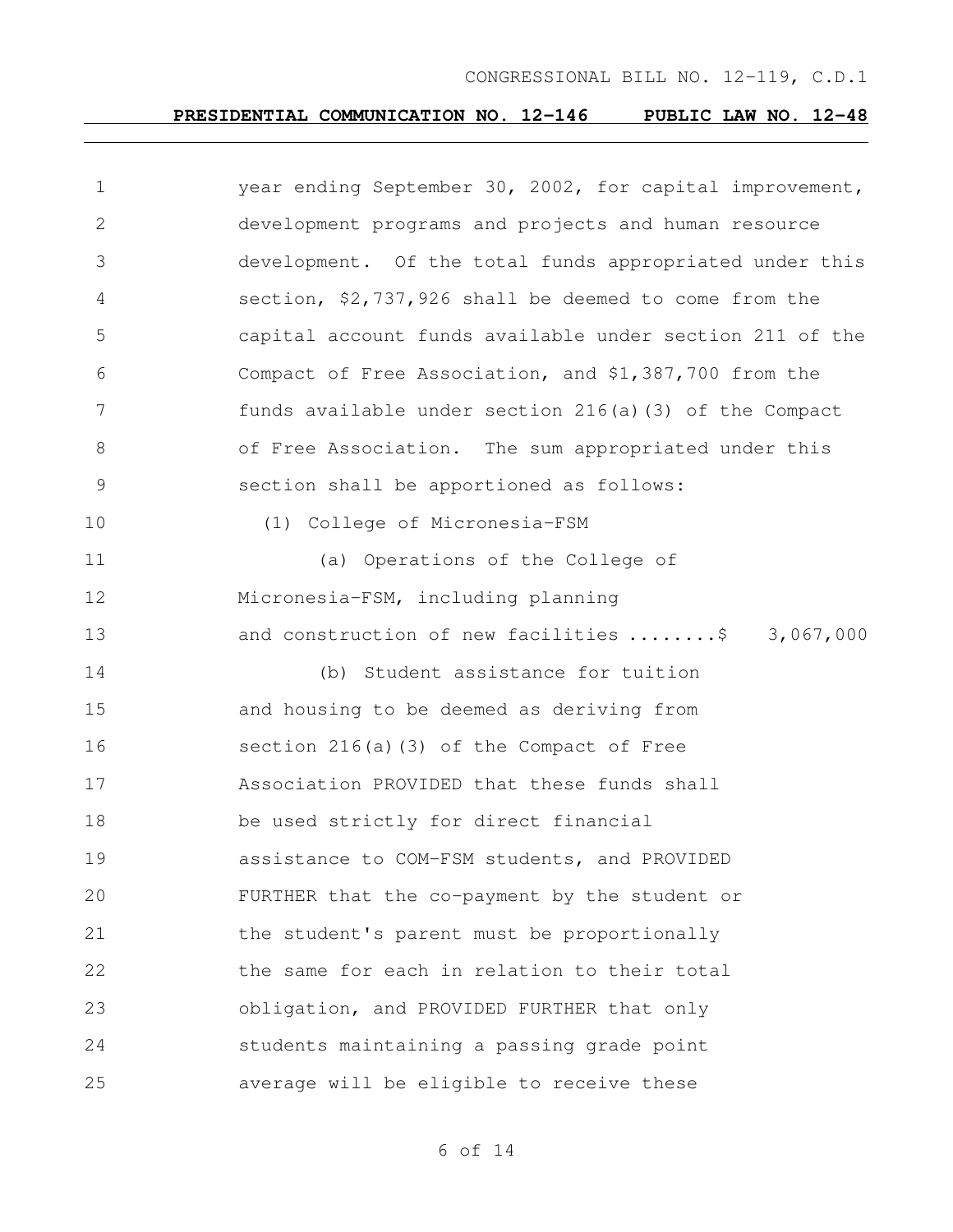# **PRESIDENTIAL COMMUNICATION NO. 12-146 PUBLIC LAW NO. 12-48**

| $\mathbf 1$    | year ending September 30, 2002, for capital improvement, |
|----------------|----------------------------------------------------------|
| 2              | development programs and projects and human resource     |
| 3              | development. Of the total funds appropriated under this  |
| 4              | section, \$2,737,926 shall be deemed to come from the    |
| 5              | capital account funds available under section 211 of the |
| 6              | Compact of Free Association, and \$1,387,700 from the    |
| 7              | funds available under section 216(a)(3) of the Compact   |
| 8              | of Free Association. The sum appropriated under this     |
| $\overline{9}$ | section shall be apportioned as follows:                 |
| 10             | (1) College of Micronesia-FSM                            |
| 11             | (a) Operations of the College of                         |
| 12             | Micronesia-FSM, including planning                       |
| 13             | and construction of new facilities \$ 3,067,000          |
| 14             | (b) Student assistance for tuition                       |
| 15             | and housing to be deemed as deriving from                |
| 16             | section $216(a)$ (3) of the Compact of Free              |
| 17             | Association PROVIDED that these funds shall              |
| 18             | be used strictly for direct financial                    |
| 19             | assistance to COM-FSM students, and PROVIDED             |
| 20             | FURTHER that the co-payment by the student or            |
| 21             | the student's parent must be proportionally              |
| 22             | the same for each in relation to their total             |
| 23             | obligation, and PROVIDED FURTHER that only               |
| 24             | students maintaining a passing grade point               |
| 25             | average will be eligible to receive these                |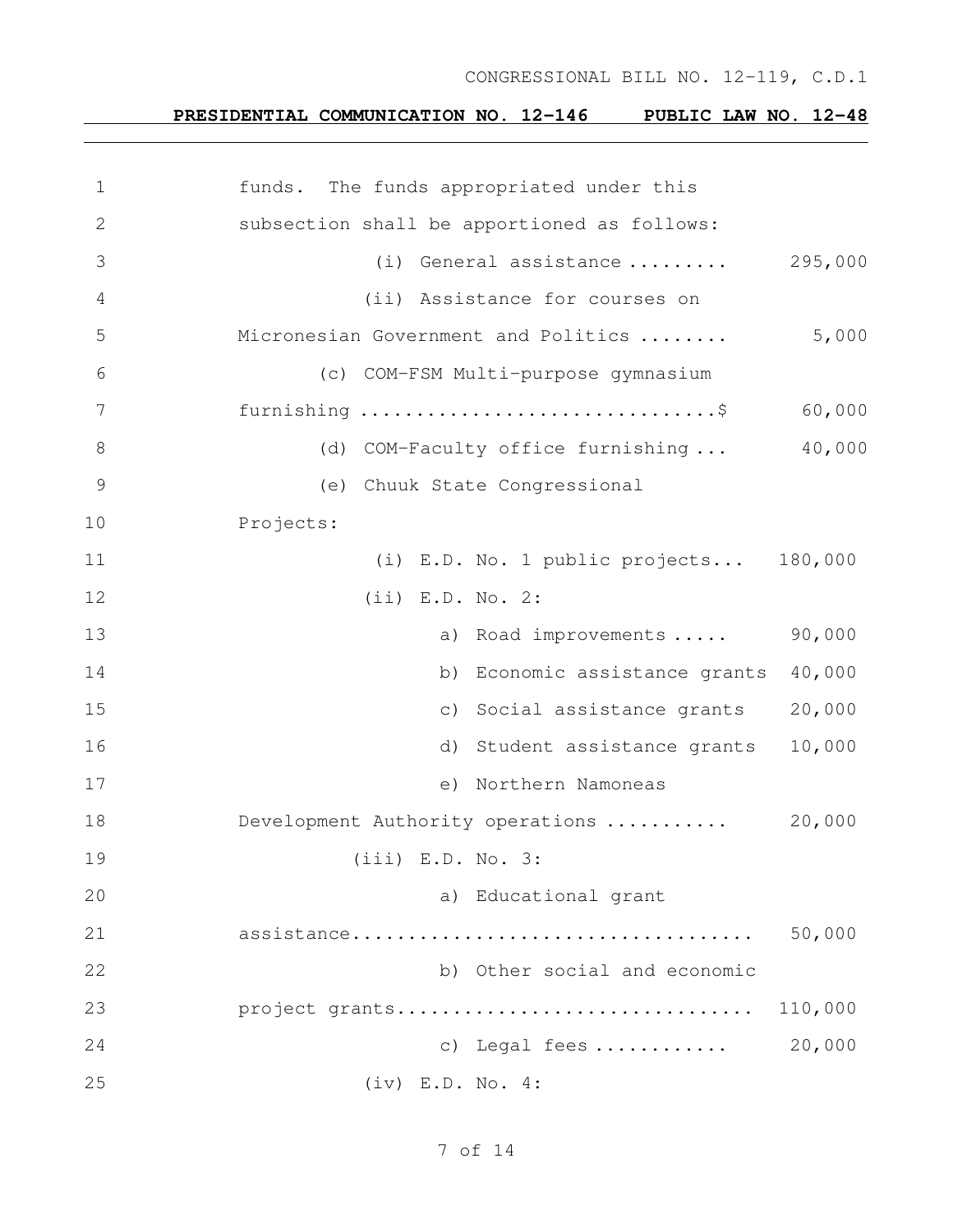# **PRESIDENTIAL COMMUNICATION NO. 12-146 PUBLIC LAW NO. 12-48**

| $\mathbf 1$    | funds. The funds appropriated under this     |
|----------------|----------------------------------------------|
| $\mathbf{2}$   | subsection shall be apportioned as follows:  |
| 3              | 295,000<br>(i) General assistance            |
| $\overline{4}$ | (ii) Assistance for courses on               |
| 5              | 5,000<br>Micronesian Government and Politics |
| 6              | (c) COM-FSM Multi-purpose gymnasium          |
| 7              | 60,000                                       |
| $8\,$          | 40,000<br>(d) COM-Faculty office furnishing  |
| $\mathcal{G}$  | (e) Chuuk State Congressional                |
| 10             | Projects:                                    |
| 11             | (i) E.D. No. 1 public projects 180,000       |
| 12             | $(iii)$ E.D. No. 2:                          |
| 13             | 90,000<br>a) Road improvements               |
| 14             | b) Economic assistance grants<br>40,000      |
| 15             | 20,000<br>c) Social assistance grants        |
| 16             | 10,000<br>d) Student assistance grants       |
| 17             | e) Northern Namoneas                         |
| 18             | 20,000<br>Development Authority operations   |
| 19             | $(iii)$ E.D. No. 3:                          |
| 20             | a) Educational grant                         |
| 21             | 50,000                                       |
| 22             | b) Other social and economic                 |
| 23             | project grants<br>110,000                    |
| 24             | 20,000<br>c) Legal fees                      |
| 25             | (iv) E.D. No. 4:                             |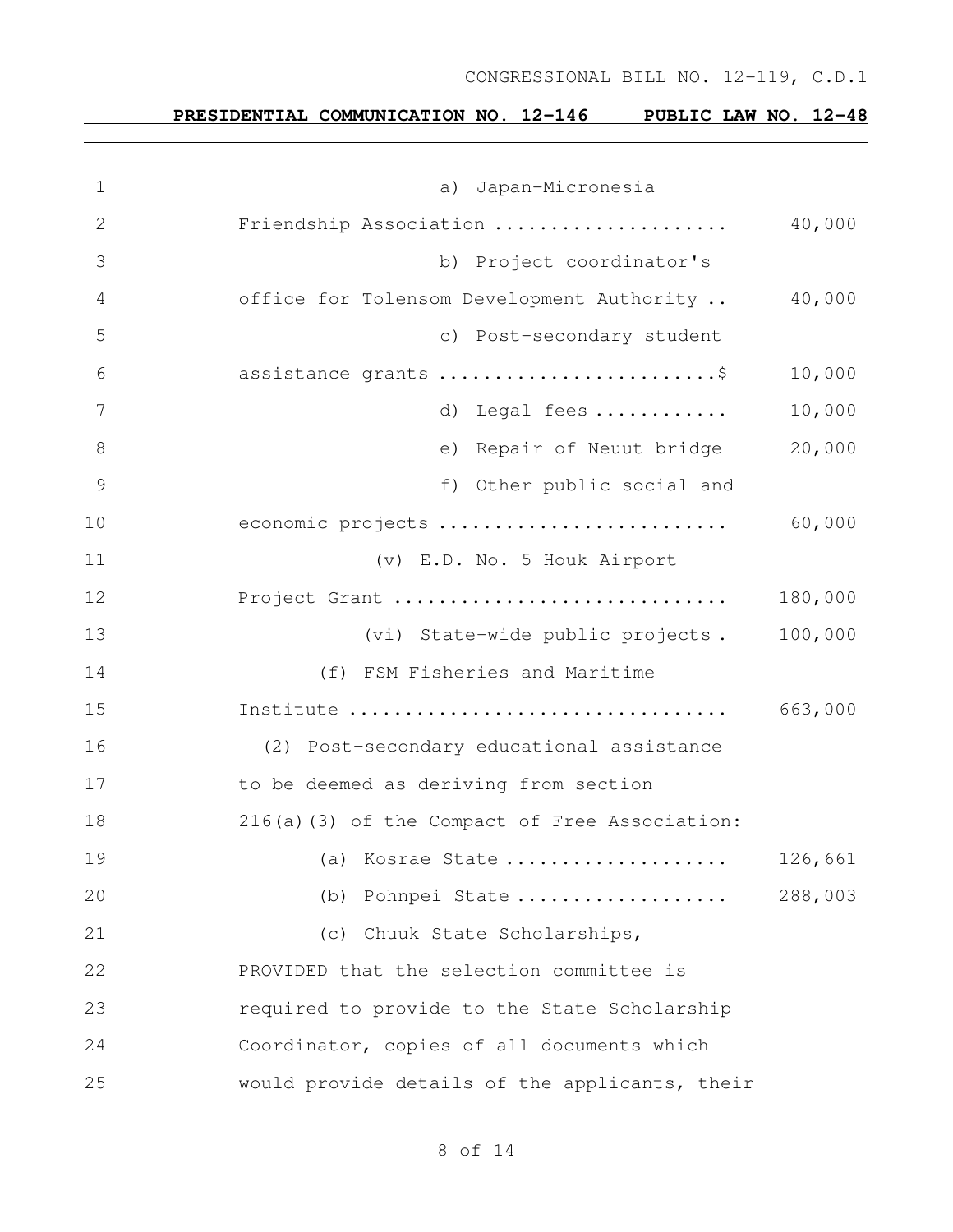| $\mathbf 1$   | a) Japan-Micronesia                            |         |
|---------------|------------------------------------------------|---------|
| 2             | Friendship Association                         | 40,000  |
| 3             | b) Project coordinator's                       |         |
| 4             | office for Tolensom Development Authority      | 40,000  |
| 5             | c) Post-secondary student                      |         |
| 6             | assistance grants \$                           | 10,000  |
| 7             | d) Legal fees                                  | 10,000  |
| $8\,$         | e) Repair of Neuut bridge                      | 20,000  |
| $\mathcal{G}$ | f) Other public social and                     |         |
| 10            | economic projects                              | 60,000  |
| 11            | (v) E.D. No. 5 Houk Airport                    |         |
| 12            | Project Grant                                  | 180,000 |
| 13            | (vi) State-wide public projects.               | 100,000 |
| 14            | (f) FSM Fisheries and Maritime                 |         |
| 15            | Institute                                      | 663,000 |
| 16            | (2) Post-secondary educational assistance      |         |
| 17            | to be deemed as deriving from section          |         |
| 18            | 216(a)(3) of the Compact of Free Association:  |         |
| 19            | (a) Kosrae State                               | 126,661 |
| 20            | (b) Pohnpei State                              | 288,003 |
| 21            | (c) Chuuk State Scholarships,                  |         |
| 22            | PROVIDED that the selection committee is       |         |
| 23            | required to provide to the State Scholarship   |         |
| 24            | Coordinator, copies of all documents which     |         |
| 25            | would provide details of the applicants, their |         |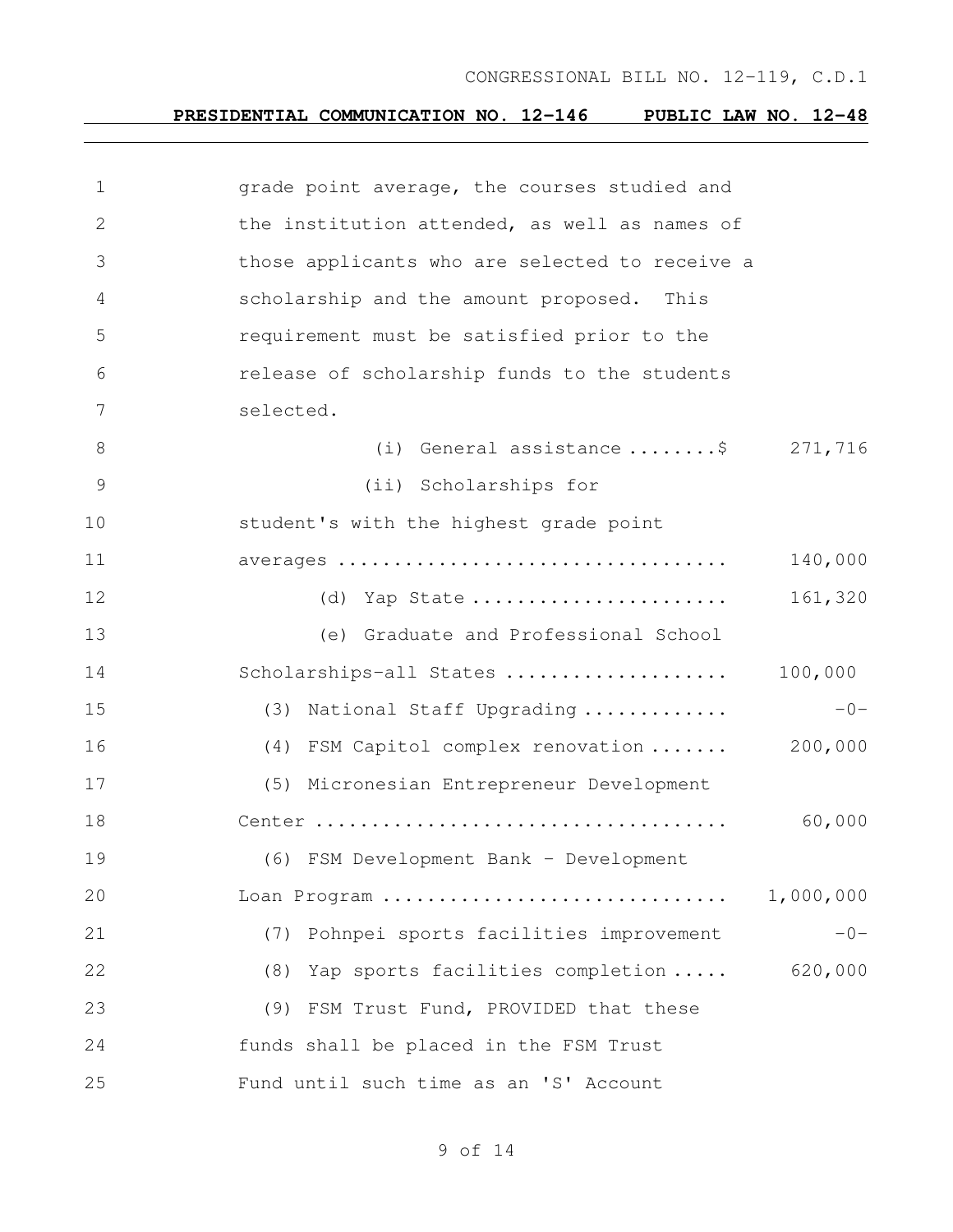# **PRESIDENTIAL COMMUNICATION NO. 12-146 PUBLIC LAW NO. 12-48**

| $\mathbf 1$    | grade point average, the courses studied and   |           |
|----------------|------------------------------------------------|-----------|
| 2              | the institution attended, as well as names of  |           |
| 3              | those applicants who are selected to receive a |           |
| 4              | scholarship and the amount proposed. This      |           |
| 5              | requirement must be satisfied prior to the     |           |
| 6              | release of scholarship funds to the students   |           |
| 7              | selected.                                      |           |
| 8              | (i) General assistance $\dots \dots$ \$271,716 |           |
| $\overline{9}$ | (ii) Scholarships for                          |           |
| 10             | student's with the highest grade point         |           |
| 11             |                                                | 140,000   |
| 12             | (d) Yap State                                  | 161,320   |
| 13             | (e) Graduate and Professional School           |           |
| 14             | Scholarships-all States                        | 100,000   |
| 15             | (3) National Staff Upgrading                   | $-0-$     |
| 16             | (4) FSM Capitol complex renovation             | 200,000   |
| 17             | (5) Micronesian Entrepreneur Development       |           |
| 18             |                                                | 60,000    |
| 19             | (6) FSM Development Bank - Development         |           |
| 20             | Loan Program                                   | 1,000,000 |
| 21             | Pohnpei sports facilities improvement<br>(7)   | $-0-$     |
| 22             | Yap sports facilities completion<br>(8)        | 620,000   |
| 23             | (9) FSM Trust Fund, PROVIDED that these        |           |
| 24             | funds shall be placed in the FSM Trust         |           |
| 25             | Fund until such time as an 'S' Account         |           |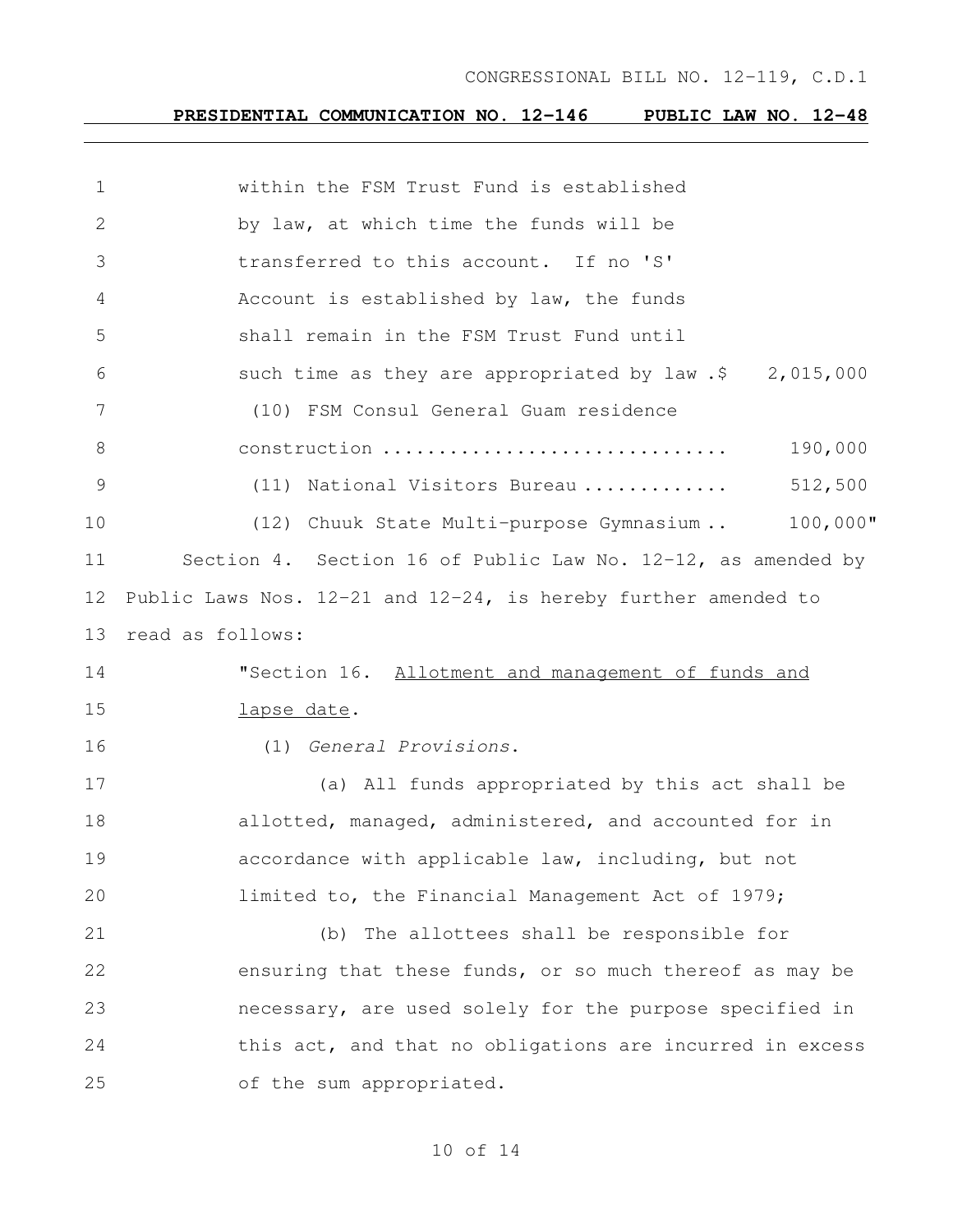# **PRESIDENTIAL COMMUNICATION NO. 12-146 PUBLIC LAW NO. 12-48**

| $\mathbf 1$   | within the FSM Trust Fund is established                       |
|---------------|----------------------------------------------------------------|
| 2             | by law, at which time the funds will be                        |
| 3             | transferred to this account. If no 'S'                         |
| 4             | Account is established by law, the funds                       |
| 5             | shall remain in the FSM Trust Fund until                       |
| 6             | such time as they are appropriated by $law .$ \$ 2,015,000     |
| 7             | (10) FSM Consul General Guam residence                         |
| 8             | 190,000<br>construction                                        |
| $\mathcal{G}$ | 512,500<br>(11) National Visitors Bureau                       |
| 10            | $100,000$ "<br>(12) Chuuk State Multi-purpose Gymnasium        |
| 11            | Section 4. Section 16 of Public Law No. 12-12, as amended by   |
| 12            | Public Laws Nos. 12-21 and 12-24, is hereby further amended to |
| 13            | read as follows:                                               |
| 14            | "Section 16. Allotment and management of funds and             |
| 15            | lapse date.                                                    |
| 16            | (1) General Provisions.                                        |
| 17            | (a) All funds appropriated by this act shall be                |
| 18            | allotted, managed, administered, and accounted for in          |
| 19            | accordance with applicable law, including, but not             |
| 20            | limited to, the Financial Management Act of 1979;              |
| 21            | (b) The allottees shall be responsible for                     |
| 22            | ensuring that these funds, or so much thereof as may be        |
| 23            | necessary, are used solely for the purpose specified in        |
| 24            | this act, and that no obligations are incurred in excess       |
| 25            | of the sum appropriated.                                       |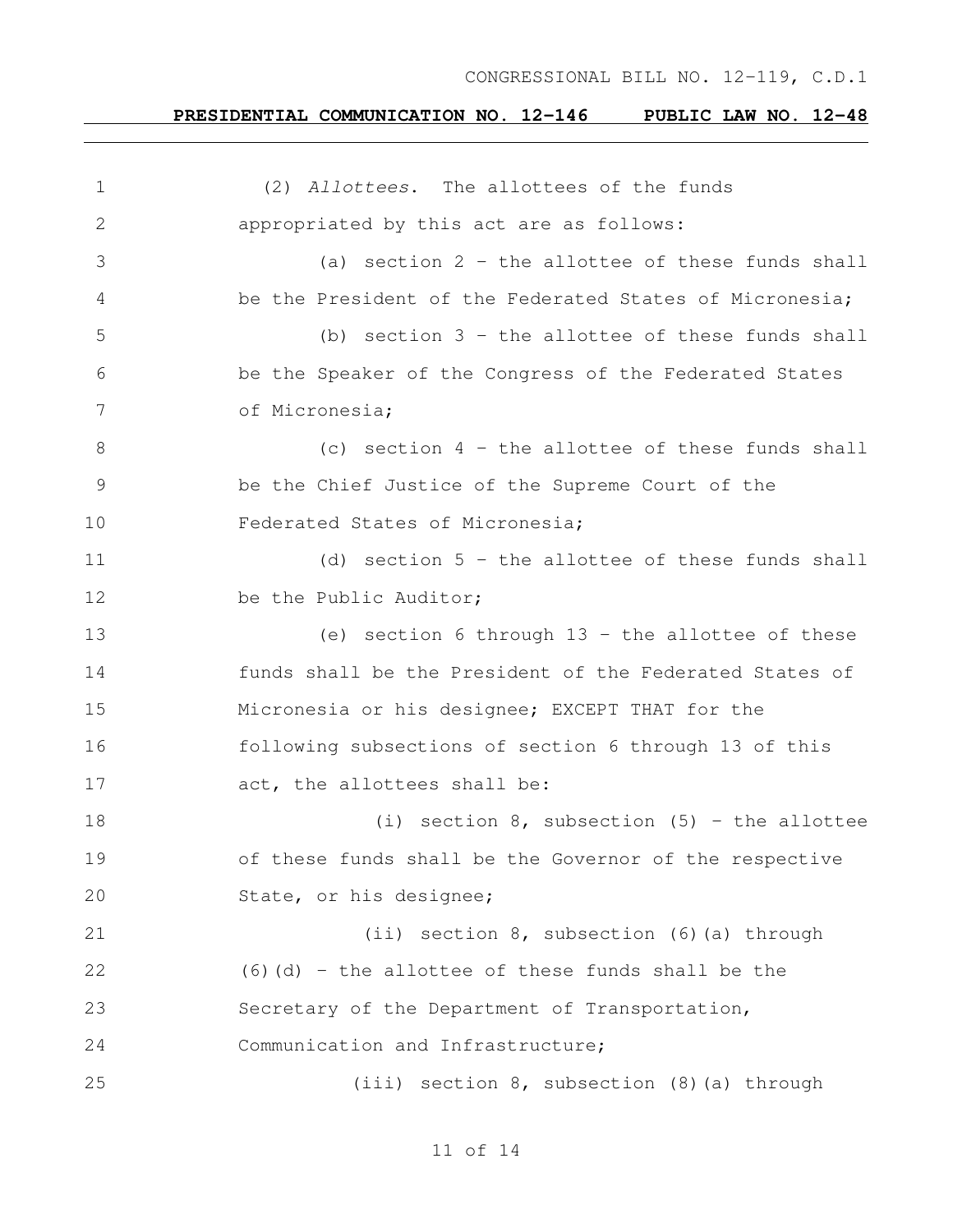# **PRESIDENTIAL COMMUNICATION NO. 12-146 PUBLIC LAW NO. 12-48**

| $\mathbf 1$     | (2) Allottees. The allottees of the funds               |
|-----------------|---------------------------------------------------------|
| 2               | appropriated by this act are as follows:                |
| 3               | (a) section $2$ - the allottee of these funds shall     |
| 4               | be the President of the Federated States of Micronesia; |
| 5               | (b) section $3$ - the allottee of these funds shall     |
| 6               | be the Speaker of the Congress of the Federated States  |
| $7\phantom{.0}$ | of Micronesia;                                          |
| $8\,$           | (c) section $4$ - the allottee of these funds shall     |
| $\mathcal{G}$   | be the Chief Justice of the Supreme Court of the        |
| 10              | Federated States of Micronesia;                         |
| 11              | (d) section $5$ - the allottee of these funds shall     |
| 12              | be the Public Auditor;                                  |
| 13              | (e) section 6 through $13$ - the allottee of these      |
| 14              | funds shall be the President of the Federated States of |
| 15              | Micronesia or his designee; EXCEPT THAT for the         |
| 16              | following subsections of section 6 through 13 of this   |
| 17              | act, the allottees shall be:                            |
| 18              | (i) section $8$ , subsection $(5)$ - the allottee       |
| 19              | of these funds shall be the Governor of the respective  |
| 20              | State, or his designee;                                 |
| 21              | (ii) section 8, subsection (6) (a) through              |
| 22              | $(6)$ (d) - the allottee of these funds shall be the    |
| 23              | Secretary of the Department of Transportation,          |
| 24              | Communication and Infrastructure;                       |
| 25              | (iii) section 8, subsection (8) (a) through             |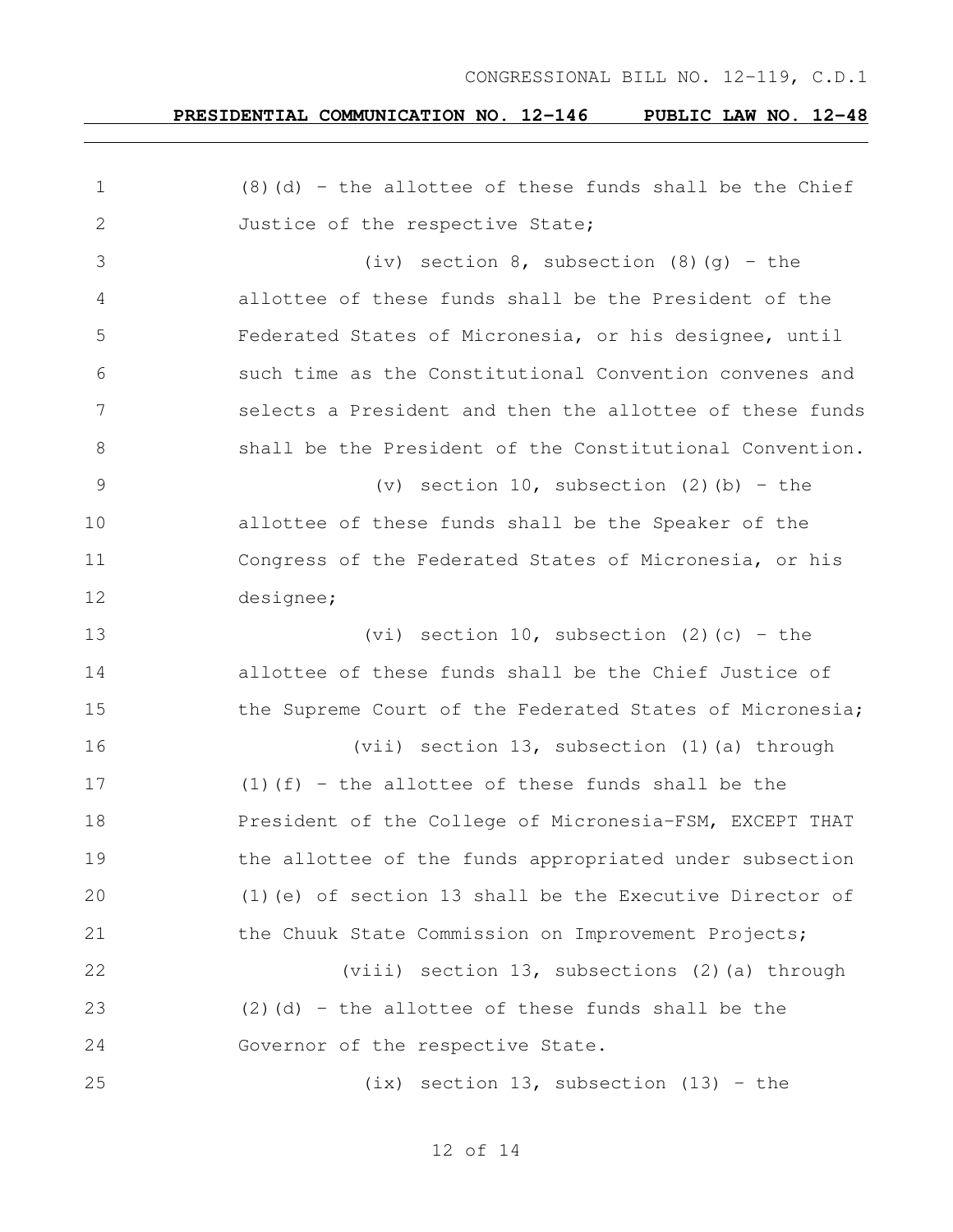| $\mathbf 1$   | $(8)$ (d) - the allottee of these funds shall be the Chief |
|---------------|------------------------------------------------------------|
| 2             | Justice of the respective State;                           |
| 3             | (iv) section $8$ , subsection $(8)$ $(g)$ - the            |
| 4             | allottee of these funds shall be the President of the      |
| 5             | Federated States of Micronesia, or his designee, until     |
| 6             | such time as the Constitutional Convention convenes and    |
| 7             | selects a President and then the allottee of these funds   |
| 8             | shall be the President of the Constitutional Convention.   |
| $\mathcal{G}$ | (v) section $10$ , subsection (2)(b) - the                 |
| 10            | allottee of these funds shall be the Speaker of the        |
| 11            | Congress of the Federated States of Micronesia, or his     |
| 12            | designee;                                                  |
| 13            | (vi) section 10, subsection $(2)$ (c) - the                |
| 14            | allottee of these funds shall be the Chief Justice of      |
| 15            | the Supreme Court of the Federated States of Micronesia;   |
| 16            | (vii) section 13, subsection (1) (a) through               |
| 17            | $(1)$ (f) - the allottee of these funds shall be the       |
| 18            | President of the College of Micronesia-FSM, EXCEPT THAT    |
| 19            | the allottee of the funds appropriated under subsection    |
| 20            | $(1)$ (e) of section 13 shall be the Executive Director of |
| 21            | the Chuuk State Commission on Improvement Projects;        |
| 22            | (viii) section 13, subsections (2) (a) through             |
| 23            | $(2)$ (d) - the allottee of these funds shall be the       |
| 24            | Governor of the respective State.                          |
| 25            | $(ix)$ section 13, subsection (13) - the                   |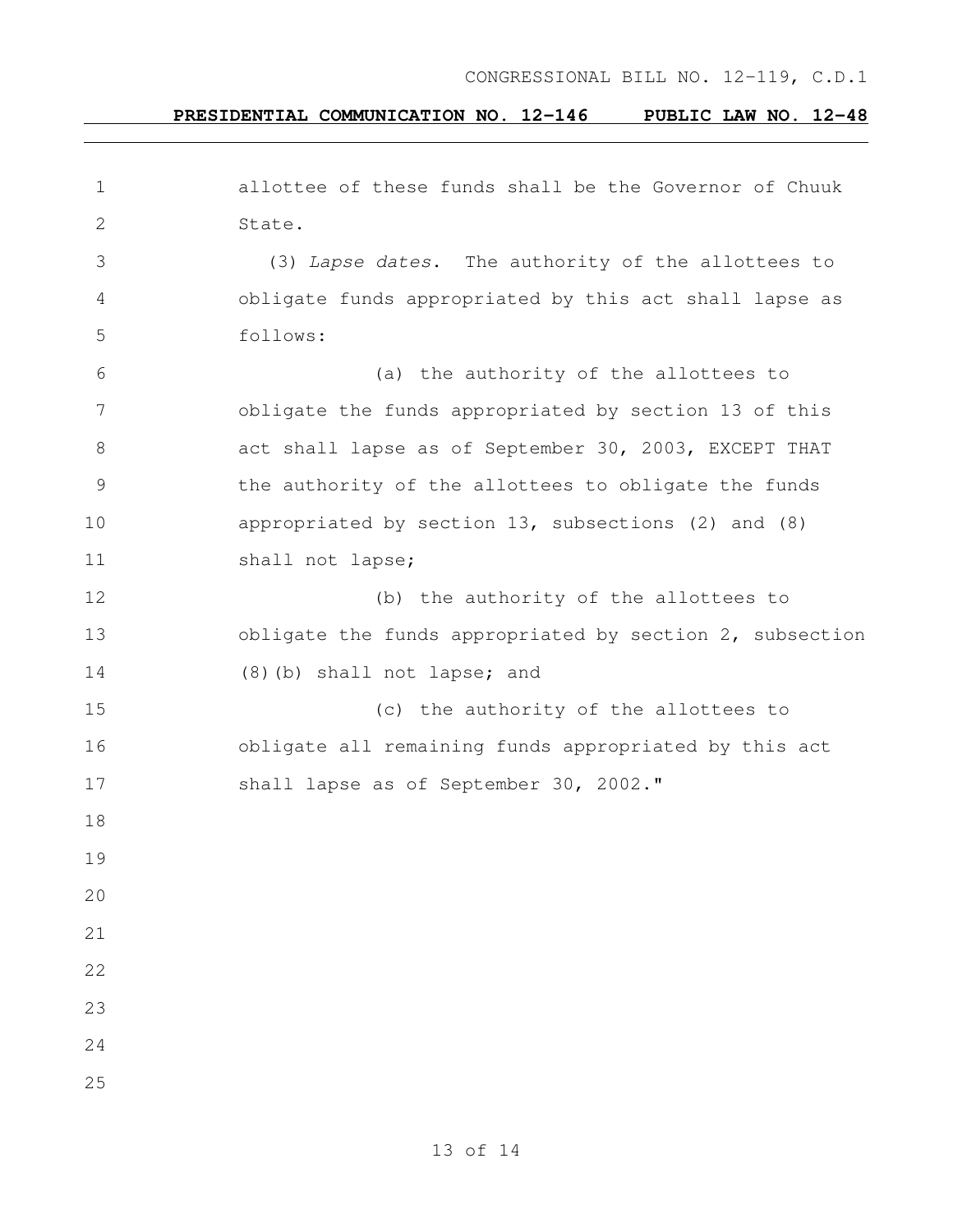| 1  | allottee of these funds shall be the Governor of Chuuk   |
|----|----------------------------------------------------------|
| 2  | State.                                                   |
| 3  | (3) Lapse dates. The authority of the allottees to       |
| 4  | obligate funds appropriated by this act shall lapse as   |
| 5  | follows:                                                 |
| 6  | (a) the authority of the allottees to                    |
| 7  | obligate the funds appropriated by section 13 of this    |
| 8  | act shall lapse as of September 30, 2003, EXCEPT THAT    |
| 9  | the authority of the allottees to obligate the funds     |
| 10 | appropriated by section 13, subsections (2) and (8)      |
| 11 | shall not lapse;                                         |
| 12 | (b) the authority of the allottees to                    |
| 13 | obligate the funds appropriated by section 2, subsection |
| 14 | (8) (b) shall not lapse; and                             |
| 15 | (c) the authority of the allottees to                    |
| 16 | obligate all remaining funds appropriated by this act    |
| 17 | shall lapse as of September 30, 2002."                   |
| 18 |                                                          |
| 19 |                                                          |
| 20 |                                                          |
| 21 |                                                          |
| 22 |                                                          |
| 23 |                                                          |
| 24 |                                                          |
| 25 |                                                          |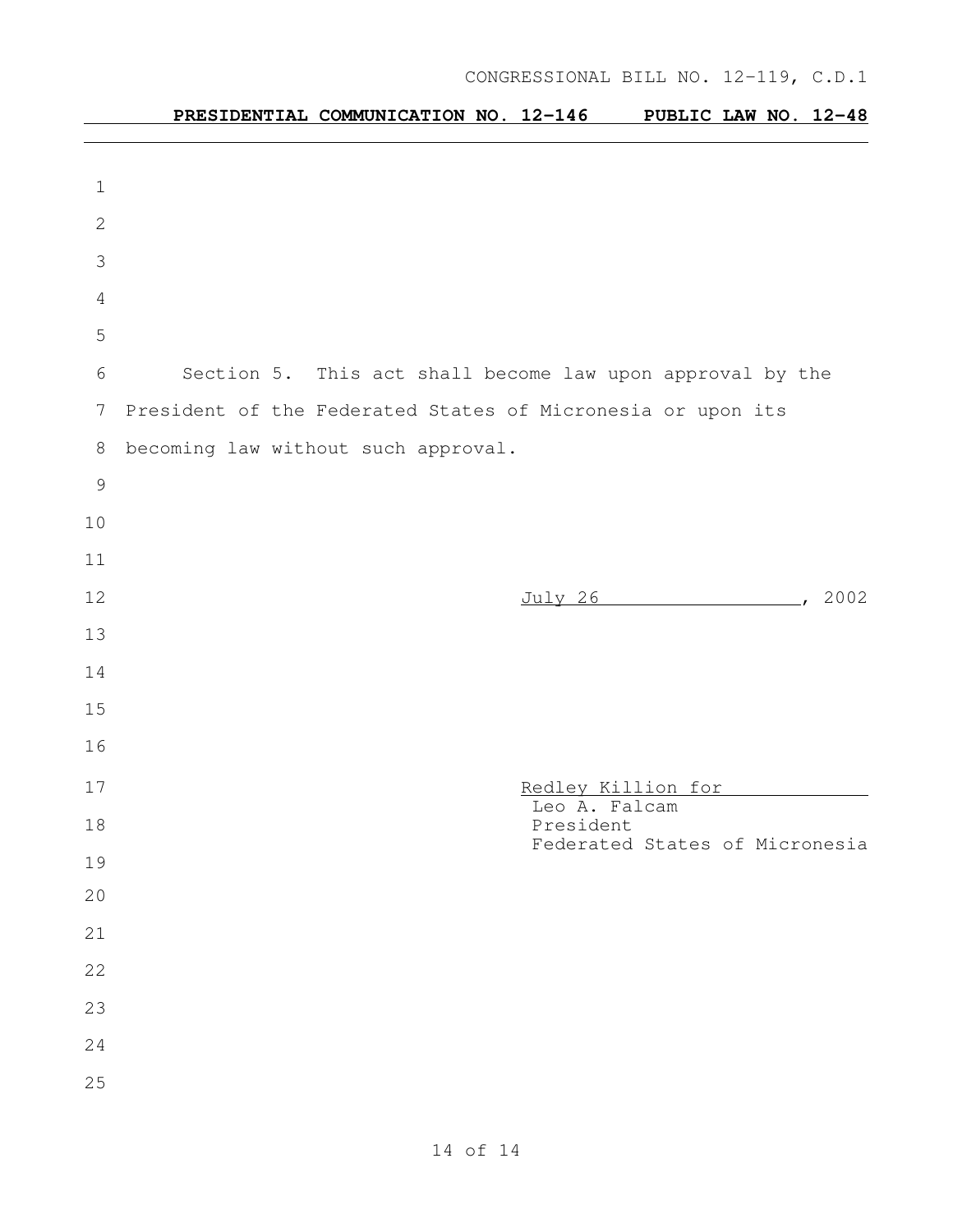# **PRESIDENTIAL COMMUNICATION NO. 12-146 PUBLIC LAW NO. 12-48**

| 1              |                                                             |  |
|----------------|-------------------------------------------------------------|--|
| $\mathbf{2}$   |                                                             |  |
| 3              |                                                             |  |
| $\overline{4}$ |                                                             |  |
| 5              |                                                             |  |
| 6              | Section 5. This act shall become law upon approval by the   |  |
| 7              | President of the Federated States of Micronesia or upon its |  |
| 8              | becoming law without such approval.                         |  |
| $\overline{9}$ |                                                             |  |
| 10             |                                                             |  |
| 11             |                                                             |  |
| 12             | July 26 (2002)                                              |  |
| 13             |                                                             |  |
| 14             |                                                             |  |
| 15             |                                                             |  |
| 16             |                                                             |  |
| 17             | Redley Killion for                                          |  |
| 18             | Leo A. Falcam<br>President                                  |  |
| 19             | Federated States of Micronesia                              |  |
| 20             |                                                             |  |
| 21             |                                                             |  |
| 22             |                                                             |  |
| 23             |                                                             |  |
| 24             |                                                             |  |
| 25             |                                                             |  |